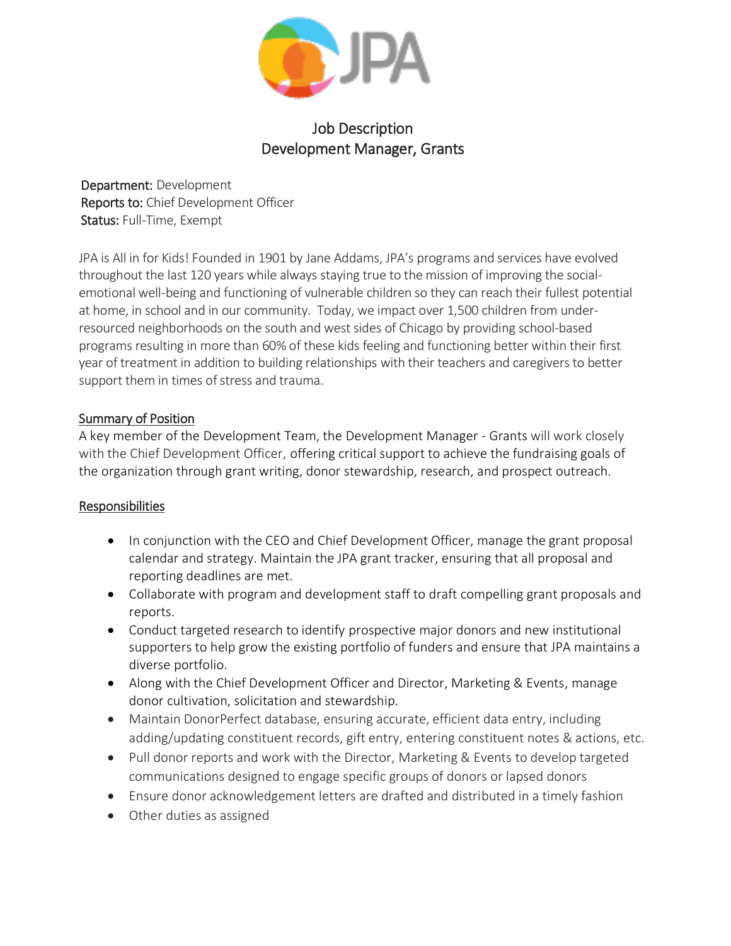

# Job Description Development Manager, Grants

Department: Development Reports to: Chief Development Officer Status: Full-Time, Exempt

JPA is All in for Kids! Founded in 1901 by Jane Addams, JPA's programs and services have evolved throughout the last 120 years while always staying true to the mission of improving the socialemotional well-being and functioning of vulnerable children so they can reach their fullest potential at home, in school and in our community. Today, we impact over 1,500 children from underresourced neighborhoods on the south and west sides of Chicago by providing school-based programs resulting in more than 60% of these kids feeling and functioning better within their first year of treatment in addition to building relationships with their teachers and caregivers to better support them in times of stress and trauma.

### Summary of Position

A key member of the Development Team, the Development Manager - Grants will work closely with the Chief Development Officer, offering critical support to achieve the fundraising goals of the organization through grant writing, donor stewardship, research, and prospect outreach.

## Responsibilities

- In conjunction with the CEO and Chief Development Officer, manage the grant proposal calendar and strategy. Maintain the JPA grant tracker, ensuring that all proposal and reporting deadlines are met.
- Collaborate with program and development staff to draft compelling grant proposals and reports.
- Conduct targeted research to identify prospective major donors and new institutional supporters to help grow the existing portfolio of funders and ensure that JPA maintains a diverse portfolio.
- Along with the Chief Development Officer and Director, Marketing & Events, manage donor cultivation, solicitation and stewardship.
- Maintain DonorPerfect database, ensuring accurate, efficient data entry, including adding/updating constituent records, gift entry, entering constituent notes & actions, etc.
- Pull donor reports and work with the Director, Marketing & Events to develop targeted communications designed to engage specific groups of donors or lapsed donors
- Ensure donor acknowledgement letters are drafted and distributed in a timely fashion
- Other duties as assigned